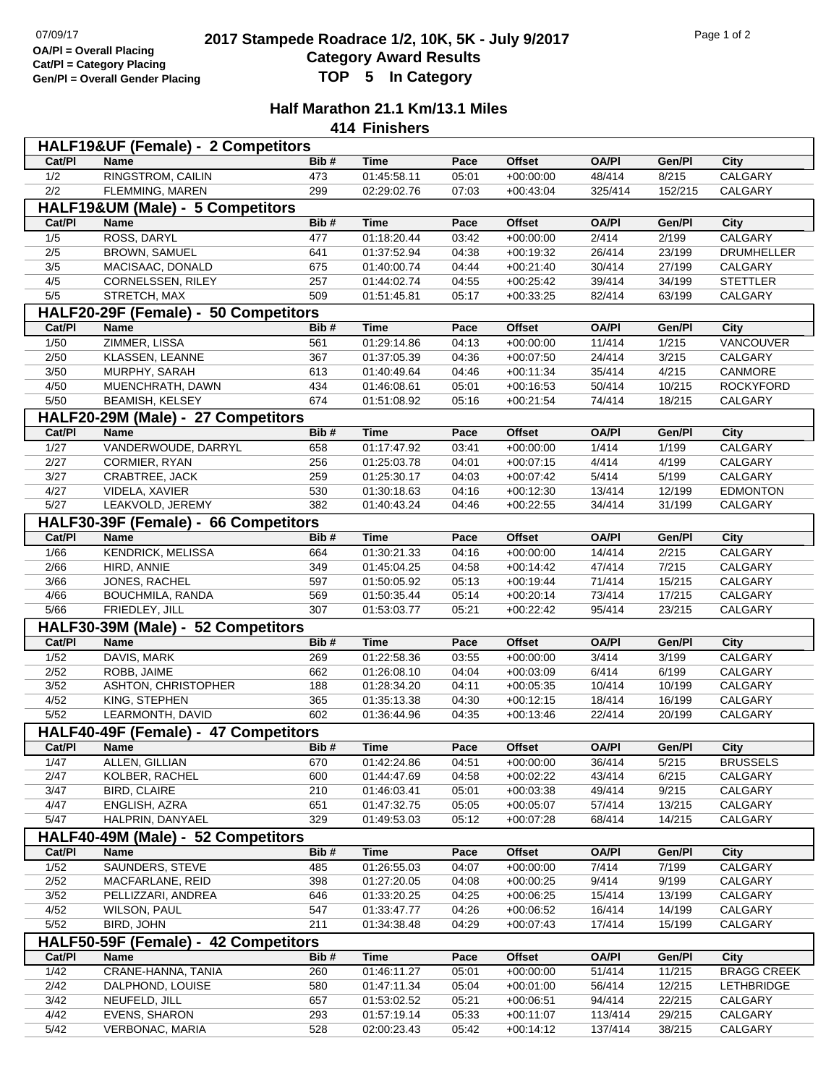## **2017 Stampede Roadrace 1/2, 10K, 5K - July 9/2017** Page 1 of 2<br> **2017 Stampede Roadrace 1/2, 10K, 5K - July 9/2017 Category Award Results Gen/Pl = Overall Gender Placing TOP 5 In Category**

## **Half Marathon 21.1 Km/13.1 Miles**

**414 Finishers**

| HALF19&UF (Female) - 2 Competitors |                                      |            |                            |                |                            |                  |                  |                           |  |  |  |
|------------------------------------|--------------------------------------|------------|----------------------------|----------------|----------------------------|------------------|------------------|---------------------------|--|--|--|
| Cat/PI                             | <b>Name</b>                          | Bib#       | <b>Time</b>                | Pace           | <b>Offset</b>              | <b>OA/PI</b>     | Gen/Pl           | City                      |  |  |  |
| 1/2                                | <b>RINGSTROM, CAILIN</b>             | 473        | 01:45:58.11                | 05:01          | $+00:00:00$                | 48/414           | 8/215            | <b>CALGARY</b>            |  |  |  |
| 2/2                                | FLEMMING, MAREN                      | 299        | 02:29:02.76                | 07:03          | $+00:43:04$                | 325/414          | 152/215          | CALGARY                   |  |  |  |
| HALF19&UM (Male) - 5 Competitors   |                                      |            |                            |                |                            |                  |                  |                           |  |  |  |
| Cat/PI                             | <b>Name</b>                          | Bib#       | <b>Time</b>                | Pace           | <b>Offset</b>              | <b>OA/PI</b>     | Gen/Pl           | City                      |  |  |  |
| 1/5                                | ROSS, DARYL                          | 477        | 01:18:20.44                | 03:42          | $+00:00:00$                | 2/414            | 2/199            | <b>CALGARY</b>            |  |  |  |
| 2/5                                | BROWN, SAMUEL                        | 641        | 01:37:52.94                | 04:38          | $+00:19:32$                | 26/414           | 23/199           | <b>DRUMHELLER</b>         |  |  |  |
| 3/5                                | MACISAAC, DONALD                     | 675        | 01:40:00.74                | 04:44          | $+00:21:40$                | 30/414           | 27/199           | CALGARY                   |  |  |  |
| 4/5                                | CORNELSSEN, RILEY                    | 257        | 01:44:02.74                | 04:55          | $+00:25:42$                | 39/414           | 34/199           | <b>STETTLER</b>           |  |  |  |
| 5/5                                | STRETCH, MAX                         | 509        | 01:51:45.81                | 05:17          | $+00:33:25$                | 82/414           | 63/199           | CALGARY                   |  |  |  |
|                                    | HALF20-29F (Female) - 50 Competitors |            |                            |                |                            |                  |                  |                           |  |  |  |
| Cat/PI                             | <b>Name</b>                          | Bib#       | <b>Time</b>                | Pace           | <b>Offset</b>              | <b>OA/PI</b>     | Gen/Pl           | City                      |  |  |  |
| 1/50                               | ZIMMER, LISSA                        | 561        | 01:29:14.86                | 04:13          | $+00:00:00$                | 11/414           | 1/215            | <b>VANCOUVER</b>          |  |  |  |
| 2/50                               | KLASSEN, LEANNE                      | 367        | 01:37:05.39                | 04:36          | $+00:07:50$                | 24/414           | 3/215            | CALGARY                   |  |  |  |
| 3/50                               | MURPHY, SARAH                        | 613        | 01:40:49.64                | 04:46          | $+00:11:34$                | 35/414           | 4/215            | CANMORE                   |  |  |  |
| 4/50                               | MUENCHRATH, DAWN                     | 434        | 01:46:08.61                | 05:01          | $+00:16:53$                | 50/414           | 10/215           | <b>ROCKYFORD</b>          |  |  |  |
| 5/50                               | <b>BEAMISH, KELSEY</b>               | 674        | 01:51:08.92                | 05:16          | $+00:21:54$                | 74/414           | 18/215           | CALGARY                   |  |  |  |
|                                    | HALF20-29M (Male) - 27 Competitors   | Bib#       |                            |                |                            |                  |                  |                           |  |  |  |
| Cat/PI                             | Name                                 |            | <b>Time</b>                | Pace           | <b>Offset</b>              | <b>OA/PI</b>     | Gen/Pl           | <b>City</b>               |  |  |  |
| 1/27<br>2/27                       | VANDERWOUDE, DARRYL<br>CORMIER, RYAN | 658<br>256 | 01:17:47.92<br>01:25:03.78 | 03:41<br>04:01 | $+00:00:00$<br>$+00:07:15$ | 1/414<br>4/414   | 1/199<br>4/199   | <b>CALGARY</b><br>CALGARY |  |  |  |
| 3/27                               | CRABTREE, JACK                       | 259        | 01:25:30.17                | 04:03          | $+00:07:42$                | 5/414            | 5/199            | CALGARY                   |  |  |  |
| 4/27                               | VIDELA, XAVIER                       | 530        | 01:30:18.63                | 04:16          | $+00:12:30$                | 13/414           | 12/199           | <b>EDMONTON</b>           |  |  |  |
| 5/27                               | LEAKVOLD, JEREMY                     | 382        | 01:40:43.24                | 04:46          | $+00:22:55$                | 34/414           | 31/199           | CALGARY                   |  |  |  |
|                                    | HALF30-39F (Female) - 66 Competitors |            |                            |                |                            |                  |                  |                           |  |  |  |
| Cat/PI                             | Name                                 | Bib#       | <b>Time</b>                | Pace           | <b>Offset</b>              | <b>OA/PI</b>     | Gen/Pl           | <b>City</b>               |  |  |  |
| 1/66                               | <b>KENDRICK, MELISSA</b>             | 664        | 01:30:21.33                | 04:16          | $+00:00:00$                | 14/414           | 2/215            | <b>CALGARY</b>            |  |  |  |
| 2/66                               | HIRD, ANNIE                          | 349        | 01:45:04.25                | 04:58          | $+00:14:42$                | 47/414           | 7/215            | CALGARY                   |  |  |  |
| 3/66                               | JONES, RACHEL                        | 597        | 01:50:05.92                | 05:13          | $+00:19:44$                | 71/414           | 15/215           | CALGARY                   |  |  |  |
| 4/66                               | BOUCHMILA, RANDA                     | 569        | 01:50:35.44                | 05:14          | $+00:20:14$                | 73/414           | 17/215           | CALGARY                   |  |  |  |
| $5/66$                             | FRIEDLEY, JILL                       | 307        | 01:53:03.77                | 05:21          | $+00:22:42$                | 95/414           | 23/215           | CALGARY                   |  |  |  |
|                                    | HALF30-39M (Male) - 52 Competitors   |            |                            |                |                            |                  |                  |                           |  |  |  |
| Cat/PI                             | Name                                 | Bib#       | <b>Time</b>                | Pace           | <b>Offset</b>              | <b>OA/PI</b>     | Gen/Pl           | City                      |  |  |  |
| $\frac{1}{52}$                     | DAVIS, MARK                          | 269        | 01:22:58.36                | 03:55          | $+00:00:00$                | 3/414            | 3/199            | <b>CALGARY</b>            |  |  |  |
| 2/52                               | ROBB, JAIME                          | 662        | 01:26:08.10                | 04:04          | $+00:03:09$                | 6/414            | 6/199            | CALGARY                   |  |  |  |
| 3/52                               | ASHTON, CHRISTOPHER                  | 188        | 01:28:34.20                | 04:11          | $+00:05:35$                | 10/414           | 10/199           | CALGARY                   |  |  |  |
| 4/52                               | KING, STEPHEN                        | 365        | 01:35:13.38                | 04:30          | $+00:12:15$                | 18/414           | 16/199           | CALGARY                   |  |  |  |
| 5/52                               | LEARMONTH, DAVID                     | 602        | 01:36:44.96                | 04:35          | $+00:13:46$                | 22/414           | 20/199           | CALGARY                   |  |  |  |
|                                    | HALF40-49F (Female) - 47 Competitors |            |                            |                |                            |                  |                  |                           |  |  |  |
| Cat/PI                             | <b>Name</b>                          | Bib#       | <b>Time</b>                | Pace           | Offset                     | <b>OA/PI</b>     | Gen/Pl           | City                      |  |  |  |
| 1/47                               | ALLEN, GILLIAN                       | 670        | 01:42:24.86                | 04:51          | $+00:00:00$                | 36/414           | 5/215            | <b>BRUSSELS</b>           |  |  |  |
| 2/47                               | KOLBER, RACHEL                       | 600        | 01:44:47.69                | 04:58          | $+00:02:22$                | 43/414           | 6/215            | CALGARY                   |  |  |  |
| 3/47                               | <b>BIRD, CLAIRE</b>                  | 210        | 01:46:03.41                | 05:01          | $+00:03:38$                | 49/414           | 9/215            | CALGARY                   |  |  |  |
| 4/47                               | ENGLISH, AZRA                        | 651        | 01:47:32.75                | 05:05          | $+00:05:07$                | 57/414           | 13/215           | CALGARY                   |  |  |  |
| $\frac{5}{47}$                     | HALPRIN, DANYAEL                     | 329        | 01:49:53.03                | 05:12          | $+00:07:28$                | 68/414           | 14/215           | CALGARY                   |  |  |  |
|                                    | HALF40-49M (Male) - 52 Competitors   |            |                            |                |                            |                  |                  |                           |  |  |  |
| Cat/PI                             | <b>Name</b>                          | Bib#       | <b>Time</b>                | Pace           | <b>Offset</b>              | <b>OA/PI</b>     | Gen/Pl           | <b>City</b>               |  |  |  |
| $\frac{1}{52}$                     | SAUNDERS, STEVE                      | 485        | 01:26:55.03                | 04:07          | $+00:00:00$                | 7/414            | 7/199            | <b>CALGARY</b>            |  |  |  |
| 2/52                               | MACFARLANE, REID                     | 398        | 01:27:20.05                | 04:08          | $+00:00:25$                | 9/414            | 9/199            | CALGARY                   |  |  |  |
| $\frac{3}{52}$<br>4/52             | PELLIZZARI, ANDREA<br>WILSON, PAUL   | 646        | 01:33:20.25                | 04:25          | $+00:06:25$                | 15/414           | 13/199           | CALGARY                   |  |  |  |
| $\frac{5}{52}$                     | BIRD, JOHN                           | 547<br>211 | 01:33:47.77<br>01:34:38.48 | 04:26<br>04:29 | $+00:06:52$<br>$+00:07:43$ | 16/414<br>17/414 | 14/199<br>15/199 | CALGARY<br>CALGARY        |  |  |  |
|                                    | HALF50-59F (Female) - 42 Competitors |            |                            |                |                            |                  |                  |                           |  |  |  |
| Cat/PI                             | Name                                 | Bib#       | <b>Time</b>                | Pace           | <b>Offset</b>              | <b>OA/PI</b>     | Gen/Pl           | City                      |  |  |  |
| $\frac{1}{42}$                     | CRANE-HANNA, TANIA                   | 260        | 01:46:11.27                | 05:01          | $+00:00:00$                | 51/414           | 11/215           | <b>BRAGG CREEK</b>        |  |  |  |
| 2/42                               | DALPHOND, LOUISE                     | 580        | 01:47:11.34                | 05:04          | $+00:01:00$                | 56/414           | 12/215           | <b>LETHBRIDGE</b>         |  |  |  |
| $\frac{3}{42}$                     | NEUFELD, JILL                        | 657        | 01:53:02.52                | 05:21          | $+00:06:51$                | 94/414           | 22/215           | CALGARY                   |  |  |  |
| 4/42                               | EVENS, SHARON                        | 293        | 01:57:19.14                | 05:33          | $+00:11:07$                | 113/414          | 29/215           | CALGARY                   |  |  |  |
| $5/42$                             | VERBONAC, MARIA                      | 528        | 02:00:23.43                | 05:42          | $+00:14:12$                | 137/414          | 38/215           | CALGARY                   |  |  |  |